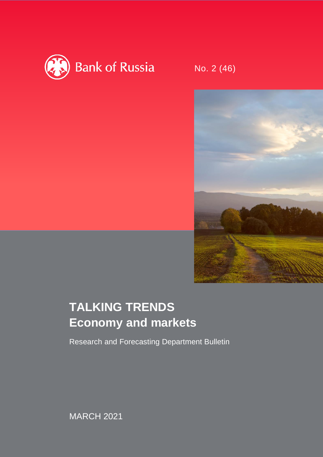

No. 2 (46)



# **TALKING TRENDS Economy and markets**

Research and Forecasting Department Bulletin

MARCH 2021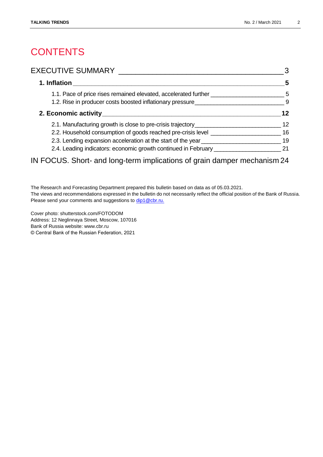# **CONTENTS**

### EXECUTIVE SUMMARY [\\_\\_\\_\\_\\_\\_\\_\\_\\_\\_\\_\\_\\_\\_\\_\\_\\_\\_\\_\\_\\_\\_\\_\\_\\_\\_\\_\\_\\_\\_\\_\\_\\_\\_\\_\\_\\_\\_\\_3](#page-2-0)

| 1. Inflation                                                                     | 5   |
|----------------------------------------------------------------------------------|-----|
| 1.1. Pace of price rises remained elevated, accelerated further ________________ | -5  |
| 1.2. Rise in producer costs boosted inflationary pressure                        | - 9 |
|                                                                                  | 12  |
| 2.1. Manufacturing growth is close to pre-crisis trajectory                      | 12  |
| 2.2. Household consumption of goods reached pre-crisis level _________           | 16  |
| 2.3. Lending expansion acceleration at the start of the year                     | 19  |
| 2.4. Leading indicators: economic growth continued in February ___               | 21  |

# IN FOCUS. Short- [and long-term implications of grain damper mechanism](#page-23-0) 24

The Research and Forecasting Department prepared this bulletin based on data as of 05.03.2021. The views and recommendations expressed in the bulletin do not necessarily reflect the official position of the Bank of Russia. Please send your comments and suggestions to [dip1@cbr.ru.](mailto:dip_bulletin@mail.cbr.ru)

Cover photo: shutterstock.com/FOTODOM Address: 12 Neglinnaya Street, Moscow, 107016 Bank of Russia website: www.cbr.ru © Central Bank of the Russian Federation, 2021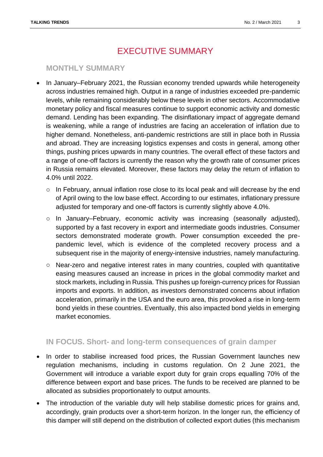# EXECUTIVE SUMMARY

### <span id="page-2-0"></span>**MONTHLY SUMMARY**

- In January–February 2021, the Russian economy trended upwards while heterogeneity across industries remained high. Output in a range of industries exceeded pre-pandemic levels, while remaining considerably below these levels in other sectors. Accommodative monetary policy and fiscal measures continue to support economic activity and domestic demand. Lending has been expanding. The disinflationary impact of aggregate demand is weakening, while a range of industries are facing an acceleration of inflation due to higher demand. Nonetheless, anti-pandemic restrictions are still in place both in Russia and abroad. They are increasing logistics expenses and costs in general, among other things, pushing prices upwards in many countries. The overall effect of these factors and a range of one-off factors is currently the reason why the growth rate of consumer prices in Russia remains elevated. Moreover, these factors may delay the return of inflation to 4.0% until 2022.
	- $\circ$  In February, annual inflation rose close to its local peak and will decrease by the end of April owing to the low base effect. According to our estimates, inflationary pressure adjusted for temporary and one-off factors is currently slightly above 4.0%.
	- o In January–February, economic activity was increasing (seasonally adjusted), supported by a fast recovery in export and intermediate goods industries. Consumer sectors demonstrated moderate growth. Power consumption exceeded the prepandemic level, which is evidence of the completed recovery process and a subsequent rise in the majority of energy-intensive industries, namely manufacturing.
	- o Near-zero and negative interest rates in many countries, coupled with quantitative easing measures caused an increase in prices in the global commodity market and stock markets, including in Russia. This pushes up foreign-currency prices for Russian imports and exports. In addition, as investors demonstrated concerns about inflation acceleration, primarily in the USA and the euro area, this provoked a rise in long-term bond yields in these countries. Eventually, this also impacted bond yields in emerging market economies.

### **IN FOCUS. Short- and long-term consequences of grain damper**

- In order to stabilise increased food prices, the Russian Government launches new regulation mechanisms, including in customs regulation. On 2 June 2021, the Government will introduce a variable export duty for grain crops equalling 70% of the difference between export and base prices. The funds to be received are planned to be allocated as subsidies proportionately to output amounts.
- The introduction of the variable duty will help stabilise domestic prices for grains and, accordingly, grain products over a short-term horizon. In the longer run, the efficiency of this damper will still depend on the distribution of collected export duties (this mechanism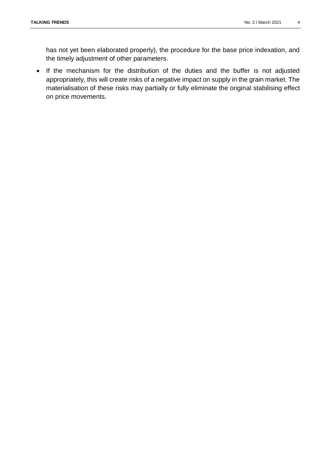has not yet been elaborated properly), the procedure for the base price indexation, and the timely adjustment of other parameters.

 If the mechanism for the distribution of the duties and the buffer is not adjusted appropriately, this will create risks of a negative impact on supply in the grain market. The materialisation of these risks may partially or fully eliminate the original stabilising effect on price movements.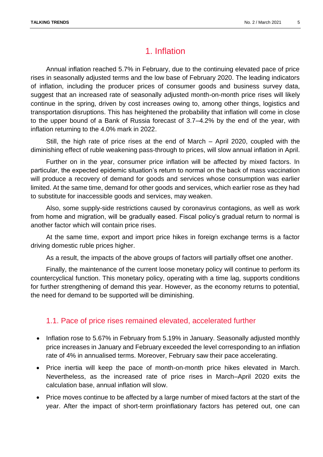# 1. Inflation

<span id="page-4-0"></span>Annual inflation reached 5.7% in February, due to the continuing elevated pace of price rises in seasonally adjusted terms and the low base of February 2020. The leading indicators of inflation, including the producer prices of consumer goods and business survey data, suggest that an increased rate of seasonally adjusted month-on-month price rises will likely continue in the spring, driven by cost increases owing to, among other things, logistics and transportation disruptions. This has heightened the probability that inflation will come in close to the upper bound of a Bank of Russia forecast of 3.7–4.2% by the end of the year, with inflation returning to the 4.0% mark in 2022.

Still, the high rate of price rises at the end of March – April 2020, coupled with the diminishing effect of ruble weakening pass-through to prices, will slow annual inflation in April.

Further on in the year, consumer price inflation will be affected by mixed factors. In particular, the expected epidemic situation's return to normal on the back of mass vaccination will produce a recovery of demand for goods and services whose consumption was earlier limited. At the same time, demand for other goods and services, which earlier rose as they had to substitute for inaccessible goods and services, may weaken.

Also, some supply-side restrictions caused by coronavirus contagions, as well as work from home and migration, will be gradually eased. Fiscal policy's gradual return to normal is another factor which will contain price rises.

At the same time, export and import price hikes in foreign exchange terms is a factor driving domestic ruble prices higher.

As a result, the impacts of the above groups of factors will partially offset one another.

Finally, the maintenance of the current loose monetary policy will continue to perform its countercyclical function. This monetary policy, operating with a time lag, supports conditions for further strengthening of demand this year. However, as the economy returns to potential, the need for demand to be supported will be diminishing.

### <span id="page-4-1"></span>1.1. Pace of price rises remained elevated, accelerated further

- Inflation rose to 5.67% in February from 5.19% in January. Seasonally adjusted monthly price increases in January and February exceeded the level corresponding to an inflation rate of 4% in annualised terms. Moreover, February saw their pace accelerating.
- Price inertia will keep the pace of month-on-month price hikes elevated in March. Nevertheless, as the increased rate of price rises in March–April 2020 exits the calculation base, annual inflation will slow.
- Price moves continue to be affected by a large number of mixed factors at the start of the year. After the impact of short-term proinflationary factors has petered out, one can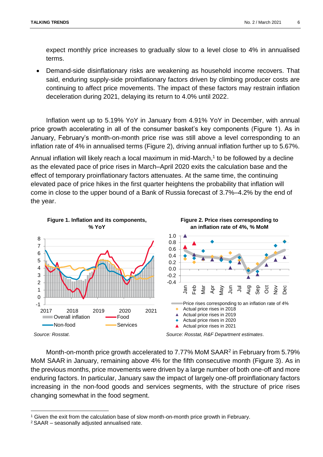expect monthly price increases to gradually slow to a level close to 4% in annualised terms.

 Demand-side disinflationary risks are weakening as household income recovers. That said, enduring supply-side proinflationary factors driven by climbing producer costs are continuing to affect price movements. The impact of these factors may restrain inflation deceleration during 2021, delaying its return to 4.0% until 2022.

Inflation went up to 5.19% YoY in January from 4.91% YoY in December, with annual price growth accelerating in all of the consumer basket's key components (Figure 1). As in January, February's month-on-month price rise was still above a level corresponding to an inflation rate of 4% in annualised terms (Figure 2), driving annual inflation further up to 5.67%.

Annual inflation will likely reach a local maximum in mid-March,<sup>1</sup> to be followed by a decline as the elevated pace of price rises in March–April 2020 exits the calculation base and the effect of temporary proinflationary factors attenuates. At the same time, the continuing elevated pace of price hikes in the first quarter heightens the probability that inflation will come in close to the upper bound of a Bank of Russia forecast of 3.7%–4.2% by the end of the year.



Month-on-month price growth accelerated to 7.77% MoM SAAR<sup>2</sup> in February from 5.79% MoM SAAR in January, remaining above 4% for the fifth consecutive month (Figure 3). As in the previous months, price movements were driven by a large number of both one-off and more enduring factors. In particular, January saw the impact of largely one-off proinflationary factors increasing in the non-food goods and services segments, with the structure of price rises changing somewhat in the food segment.

<sup>1</sup> Given the exit from the calculation base of slow month-on-month price growth in February.

<sup>2</sup> SAAR – seasonally adjusted annualised rate.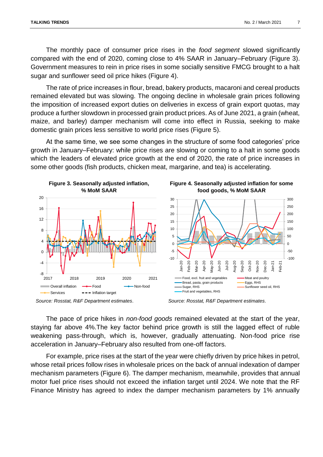The monthly pace of consumer price rises in the *food segment* slowed significantly compared with the end of 2020, coming close to 4% SAAR in January–February (Figure 3). Government measures to rein in price rises in some socially sensitive FMCG brought to a halt sugar and sunflower seed oil price hikes (Figure 4).

The rate of price increases in flour, bread, bakery products, macaroni and cereal products remained elevated but was slowing. The ongoing decline in wholesale grain prices following the imposition of increased export duties on deliveries in excess of grain export quotas, may produce a further slowdown in processed grain product prices. As of June 2021, a grain (wheat, maize, and barley) damper mechanism will come into effect in Russia, seeking to make domestic grain prices less sensitive to world price rises (Figure 5).

At the same time, we see some changes in the structure of some food categories' price growth in January–February: while price rises are slowing or coming to a halt in some goods which the leaders of elevated price growth at the end of 2020, the rate of price increases in some other goods (fish products, chicken meat, margarine, and tea) is accelerating.





The pace of price hikes in *non-food goods* remained elevated at the start of the year, staying far above 4%.The key factor behind price growth is still the lagged effect of ruble weakening pass-through, which is, however, gradually attenuating. Non-food price rise acceleration in January–February also resulted from one-off factors.

For example, price rises at the start of the year were chiefly driven by price hikes in petrol, whose retail prices follow rises in wholesale prices on the back of annual indexation of damper mechanism parameters (Figure 6). The damper mechanism, meanwhile, provides that annual motor fuel price rises should not exceed the inflation target until 2024. We note that the RF Finance Ministry has agreed to index the damper mechanism parameters by 1% annually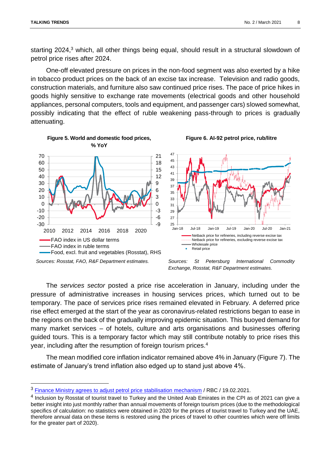$\overline{a}$ 

**Figure 5. World and domestic food prices,**

starting 2024,<sup>3</sup> which, all other things being equal, should result in a structural slowdown of petrol price rises after 2024.

One-off elevated pressure on prices in the non-food segment was also exerted by a hike in tobacco product prices on the back of an excise tax increase. Television and radio goods, construction materials, and furniture also saw continued price rises. The pace of price hikes in goods highly sensitive to exchange rate movements (electrical goods and other household appliances, personal computers, tools and equipment, and passenger cars) slowed somewhat, possibly indicating that the effect of ruble weakening pass-through to prices is gradually attenuating.



*Exchange, Rosstat, R&F Department estimates.*

**Figure 6. AI-92 petrol price, rub/litre**

The *services sector* posted a price rise acceleration in January, including under the pressure of administrative increases in housing services prices, which turned out to be temporary. The pace of services price rises remained elevated in February. A deferred price rise effect emerged at the start of the year as coronavirus-related restrictions began to ease in the regions on the back of the gradually improving epidemic situation. This buoyed demand for many market services – of hotels, culture and arts organisations and businesses offering guided tours. This is a temporary factor which may still contribute notably to price rises this year, including after the resumption of foreign tourism prices.<sup>4</sup>

The mean modified core inflation indicator remained above 4% in January (Figure 7). The estimate of January's trend inflation also edged up to stand just above 4%.

<sup>&</sup>lt;sup>3</sup> [Finance Ministry agrees to adjust petrol price stabilisation](https://www.rbc.ru/business/19/02/2021/602fb60f9a7947f806d282f1) mechanism / RBC / 19.02.2021.

<sup>&</sup>lt;sup>4</sup> Inclusion by Rosstat of tourist travel to Turkey and the United Arab Emirates in the CPI as of 2021 can give a better insight into just monthly rather than annual movements of foreign tourism prices (due to the methodological specifics of calculation: no statistics were obtained in 2020 for the prices of tourist travel to Turkey and the UAE, therefore annual data on these items is restored using the prices of travel to other countries which were off limits for the greater part of 2020).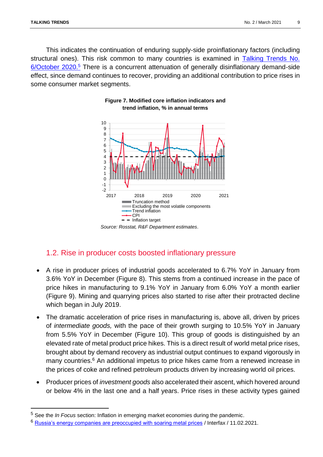$\overline{\phantom{a}}$ 

This indicates the continuation of enduring supply-side proinflationary factors (including structural ones). This risk common to many countries is examined in [Talking Trends No.](https://www.cbr.ru/Collection/Collection/File/29406/bulletin_20-06_e.pdf)  [6/October 2020.](https://www.cbr.ru/Collection/Collection/File/29406/bulletin_20-06_e.pdf)<sup>5</sup> There is a concurrent attenuation of generally disinflationary demand-side effect, since demand continues to recover, providing an additional contribution to price rises in some consumer market segments.



### **Figure 7. Modified core inflation indicators and trend inflation, % in annual terms**

### <span id="page-8-0"></span>1.2. Rise in producer costs boosted inflationary pressure

- A rise in producer prices of industrial goods accelerated to 6.7% YoY in January from 3.6% YoY in December (Figure 8). This stems from a continued increase in the pace of price hikes in manufacturing to 9.1% YoY in January from 6.0% YoY a month earlier (Figure 9). Mining and quarrying prices also started to rise after their protracted decline which began in July 2019.
- The dramatic acceleration of price rises in manufacturing is, above all, driven by prices of *intermediate goods,* with the pace of their growth surging to 10.5% YoY in January from 5.5% YoY in December (Figure 10). This group of goods is distinguished by an elevated rate of metal product price hikes. This is a direct result of world metal price rises, brought about by demand recovery as industrial output continues to expand vigorously in many countries.<sup>6</sup> An additional impetus to price hikes came from a renewed increase in the prices of coke and refined petroleum products driven by increasing world oil prices.
- Producer prices of *investment goods* also accelerated their ascent, which hovered around or below 4% in the last one and a half years. Price rises in these activity types gained

<sup>5</sup> See the *In Focus* section: Inflation in emerging market economies during the pandemic.

<sup>&</sup>lt;sup>6</sup> [Russia's energy companies are preoccupied with soaring metal prices](https://www.interfax.ru/business/750443) / Interfax / 11.02.2021.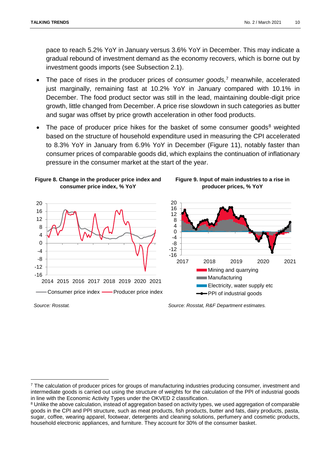pace to reach 5.2% YoY in January versus 3.6% YoY in December. This may indicate a gradual rebound of investment demand as the economy recovers, which is borne out by investment goods imports (see Subsection 2.1).

- The pace of rises in the producer prices of *consumer goods,*<sup>7</sup> meanwhile, accelerated just marginally, remaining fast at 10.2% YoY in January compared with 10.1% in December. The food product sector was still in the lead, maintaining double-digit price growth, little changed from December. A price rise slowdown in such categories as butter and sugar was offset by price growth acceleration in other food products.
- The pace of producer price hikes for the basket of some consumer goods $8$  weighted based on the structure of household expenditure used in measuring the CPI accelerated to 8.3% YoY in January from 6.9% YoY in December (Figure 11), notably faster than consumer prices of comparable goods did, which explains the continuation of inflationary pressure in the consumer market at the start of the year.







 $\overline{a}$ 

*Source: Rosstat. Source: Rosstat, R&F Department estimates.*

<sup>7</sup> The calculation of producer prices for groups of manufacturing industries producing consumer, investment and intermediate goods is carried out using the structure of weights for the calculation of the PPI of industrial goods in line with the Economic Activity Types under the OKVED 2 classification.

<sup>&</sup>lt;sup>8</sup> Unlike the above calculation, instead of aggregation based on activity types, we used aggregation of comparable goods in the CPI and PPI structure, such as meat products, fish products, butter and fats, dairy products, pasta, sugar, coffee, wearing apparel, footwear, detergents and cleaning solutions, perfumery and cosmetic products, household electronic appliances, and furniture. They account for 30% of the consumer basket.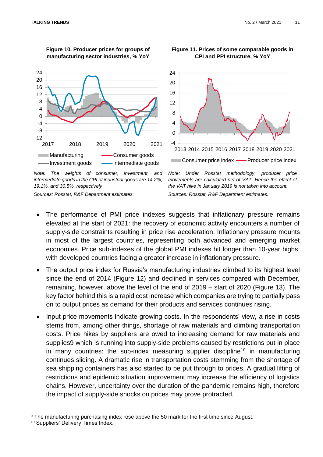

**Figure 10. Producer prices for groups of manufacturing sector industries, % YoY**



*Note: The weights of consumer, investment, and intermediate goods in the CPI of industrial goods are 14.2%, 19.1%, and 30.5%, respectively*

*Sources: Rosstat, R&F Department estimates.*

*Note: Under Rosstat methodology, producer price movements are calculated net of VAT. Hence the effect of the VAT hike in January 2019 is not taken into account. Sources: Rosstat, R&F Department estimates.*

- The performance of PMI price indexes suggests that inflationary pressure remains elevated at the start of 2021: the recovery of economic activity encounters a number of supply-side constraints resulting in price rise acceleration. Inflationary pressure mounts in most of the largest countries, representing both advanced and emerging market economies. Price sub-indexes of the global PMI indexes hit longer than 10-year highs, with developed countries facing a greater increase in inflationary pressure.
- The output price index for Russia's manufacturing industries climbed to its highest level since the end of 2014 (Figure 12) and declined in services compared with December, remaining, however, above the level of the end of 2019 – start of 2020 (Figure 13). The key factor behind this is a rapid cost increase which companies are trying to partially pass on to output prices as demand for their products and services continues rising.
- Input price movements indicate growing costs. In the respondents' view, a rise in costs stems from, among other things, shortage of raw materials and climbing transportation costs. Price hikes by suppliers are owed to increasing demand for raw materials and supplies9 which is running into supply-side problems caused by restrictions put in place in many countries: the sub-index measuring supplier discipline<sup>10</sup> in manufacturing continues sliding. A dramatic rise in transportation costs stemming from the shortage of sea shipping containers has also started to be put through to prices. A gradual lifting of restrictions and epidemic situation improvement may increase the efficiency of logistics chains. However, uncertainty over the duration of the pandemic remains high, therefore the impact of supply-side shocks on prices may prove protracted.

 $\overline{a}$ 

#### **Figure 11. Prices of some comparable goods in CPI and PPI structure, % YoY**

<sup>9</sup> The manufacturing purchasing index rose above the 50 mark for the first time since August.

<sup>10</sup> Suppliers' Delivery Times Index.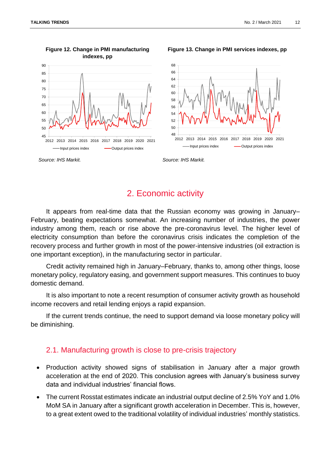

#### **Figure 12. Change in PMI manufacturing indexes, pp**

**Figure 13. Change in PMI services indexes, pp**



<span id="page-11-0"></span>*Source: IHS Markit. Source: IHS Markit.*

# 2. Economic activity

It appears from real-time data that the Russian economy was growing in January– February, beating expectations somewhat. An increasing number of industries, the power industry among them, reach or rise above the pre-coronavirus level. The higher level of electricity consumption than before the coronavirus crisis indicates the completion of the recovery process and further growth in most of the power-intensive industries (oil extraction is one important exception), in the manufacturing sector in particular.

Credit activity remained high in January–February, thanks to, among other things, loose monetary policy, regulatory easing, and government support measures. This continues to buoy domestic demand.

It is also important to note a recent resumption of consumer activity growth as household income recovers and retail lending enjoys a rapid expansion.

<span id="page-11-1"></span>If the current trends continue, the need to support demand via loose monetary policy will be diminishing.

### 2.1. Manufacturing growth is close to pre-crisis trajectory

- Production activity showed signs of stabilisation in January after a major growth acceleration at the end of 2020. This conclusion agrees with January's business survey data and individual industries' financial flows.
- The current Rosstat estimates indicate an industrial output decline of 2.5% YoY and 1.0% MoM SA in January after a significant growth acceleration in December. This is, however, to a great extent owed to the traditional volatility of individual industries' monthly statistics.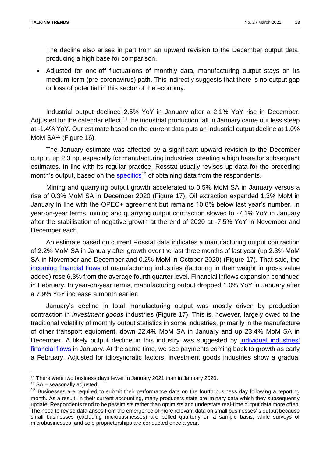The decline also arises in part from an upward revision to the December output data, producing a high base for comparison.

 Adjusted for one-off fluctuations of monthly data, manufacturing output stays on its medium-term (pre-coronavirus) path. This indirectly suggests that there is no output gap or loss of potential in this sector of the economy.

Industrial output declined 2.5% YoY in January after a 2.1% YoY rise in December. Adjusted for the calendar effect,<sup>11</sup> the industrial production fall in January came out less steep at -1.4% YoY. Our estimate based on the current data puts an industrial output decline at 1.0% MoM SA<sup>12</sup> (Figure 16).

The January estimate was affected by a significant upward revision to the December output, up 2.3 pp, especially for manufacturing industries, creating a high base for subsequent estimates. In line with its regular practice, Rosstat usually revises up data for the preceding month's output, based on the [specifics](https://rosstat.gov.ru/folder/313/document/102216)<sup>13</sup> of obtaining data from the respondents.

Mining and quarrying output growth accelerated to 0.5% MoM SA in January versus a rise of 0.3% MoM SA in December 2020 (Figure 17). Oil extraction expanded 1.3% MoM in January in line with the OPEC+ agreement but remains 10.8% below last year's number. In year-on-year terms, mining and quarrying output contraction slowed to -7.1% YoY in January after the stabilisation of negative growth at the end of 2020 at -7.5% YoY in November and December each.

An estimate based on current Rosstat data indicates a manufacturing output contraction of 2.2% MoM SA in January after growth over the last three months of last year (up 2.3% MoM SA in November and December and 0.2% MoM in October 2020) (Figure 17). That said, the [incoming financial flows](http://www.cbr.ru/analytics/finflows/#a_107637) of manufacturing industries (factoring in their weight in gross value added) rose 6.3% from the average fourth quarter level. Financial inflows expansion continued in February. In year-on-year terms, manufacturing output dropped 1.0% YoY in January after a 7.9% YoY increase a month earlier.

January's decline in total manufacturing output was mostly driven by production contraction in *investment goods* industries (Figure 17). This is, however, largely owed to the traditional volatility of monthly output statistics in some industries, primarily in the manufacture of other transport equipment, down 22.4% MoM SA in January and up 23.4% MoM SA in December. A likely output decline in this industry was suggested by *individual industries'* [financial flows](http://www.cbr.ru/analytics/finflows/#a_107637) in January. At the same time, we see payments coming back to growth as early a February. Adjusted for idiosyncratic factors, investment goods industries show a gradual

<sup>11</sup> There were two business days fewer in January 2021 than in January 2020.

<sup>12</sup> SA – seasonally adjusted.

<sup>&</sup>lt;sup>13</sup> Businesses are required to submit their performance data on the fourth business day following a reporting month. As a result, in their current accounting, many producers state preliminary data which they subsequently update. Respondents tend to be pessimists rather than optimists and understate real-time output data more often. The need to revise data arises from the emergence of more relevant data on small businesses' s output because small businesses (excluding microbusinesses) are polled quarterly on a sample basis, while surveys of microbusinesses and sole proprietorships are conducted once a year.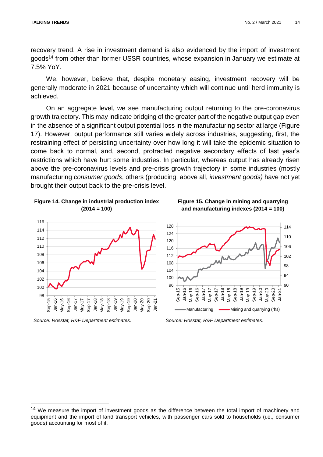recovery trend. A rise in investment demand is also evidenced by the import of investment goods<sup>14</sup> from other than former USSR countries, whose expansion in January we estimate at 7.5% YoY.

We, however, believe that, despite monetary easing, investment recovery will be generally moderate in 2021 because of uncertainty which will continue until herd immunity is achieved.

On an aggregate level, we see manufacturing output returning to the pre-coronavirus growth trajectory. This may indicate bridging of the greater part of the negative output gap even in the absence of a significant output potential loss in the manufacturing sector at large (Figure 17). However, output performance still varies widely across industries, suggesting, first, the restraining effect of persisting uncertainty over how long it will take the epidemic situation to come back to normal, and, second, protracted negative secondary effects of last year's restrictions which have hurt some industries. In particular, whereas output has already risen above the pre-coronavirus levels and pre-crisis growth trajectory in some industries (mostly manufacturing *consumer goods*, others (producing, above all, *investment goods)* have not yet brought their output back to the pre-crisis level.





*Source: Rosstat, R&F Department estimates*. *Source: Rosstat, R&F Department estimates*.

**Figure 15. Change in mining and quarrying and manufacturing indexes (2014 = 100)**



<sup>&</sup>lt;sup>14</sup> We measure the import of investment goods as the difference between the total import of machinery and equipment and the import of land transport vehicles, with passenger cars sold to households (i.e., consumer goods) accounting for most of it.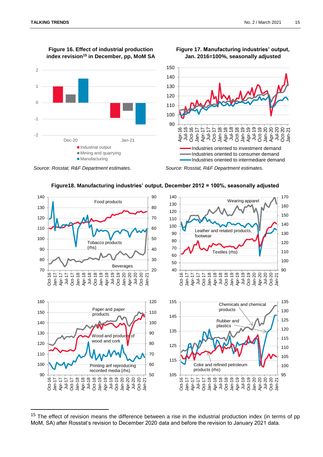$\overline{\phantom{a}}$ 



**Figure 16. Effect of industrial production** 



**Figure 17. Manufacturing industries' output, Jan. 2016=100%, seasonally adjusted**



#### *Source: Rosstat, R&F Department estimates. Source: Rosstat, R&F Department estimates.*



**Figure18. Manufacturing industries' output, December 2012 = 100%, seasonally adjusted**

<sup>&</sup>lt;sup>15</sup> The effect of revision means the difference between a rise in the industrial production index (in terms of pp MoM, SA) after Rosstat's revision to December 2020 data and before the revision to January 2021 data.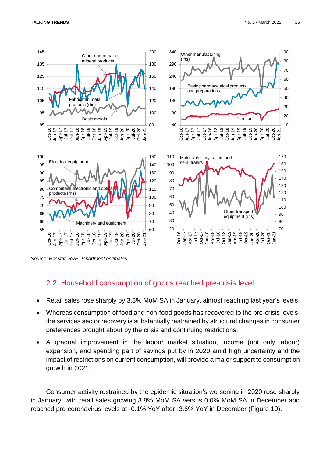

<span id="page-15-0"></span>*Source: Rosstat, R&F Department estimates.*

### 2.2. Household consumption of goods reached pre-crisis level

- Retail sales rose sharply by 3.8% MoM SA in January, almost reaching last year's levels.
- Whereas consumption of food and non-food goods has recovered to the pre-crisis levels, the services sector recovery is substantially restrained by structural changes in consumer preferences brought about by the crisis and continuing restrictions.
- A gradual improvement in the labour market situation, income (not only labour) expansion, and spending part of savings put by in 2020 amid high uncertainty and the impact of restrictions on current consumption, will provide a major support to consumption growth in 2021.

Consumer activity restrained by the epidemic situation's worsening in 2020 rose sharply in January, with retail sales growing 3.8% MoM SA versus 0.0% MoM SA in December and reached pre-coronavirus levels at -0.1% YoY after -3.6% YoY in December (Figure 19).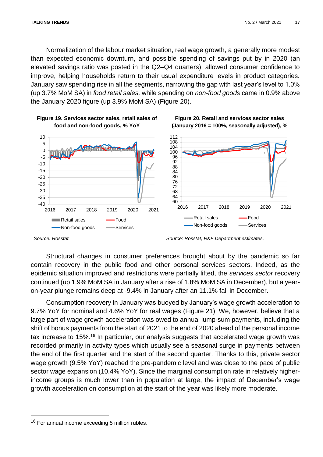**Figure 19. Services sector sales, retail sales of** 

Normalization of the labour market situation, real wage growth, a generally more modest than expected economic downturn, and possible spending of savings put by in 2020 (an elevated savings ratio was posted in the Q2–Q4 quarters), allowed consumer confidence to improve, helping households return to their usual expenditure levels in product categories. January saw spending rise in all the segments, narrowing the gap with last year's level to 1.0% (up 3.7% MoM SA) in *food retail sales,* while spending on *non-food goods* came in 0.9% above the January 2020 figure (up 3.9% MoM SA) (Figure 20).





 $\overline{a}$ 

*Source: Rosstat. Source: Rosstat, R&F Department estimates.*

Structural changes in consumer preferences brought about by the pandemic so far contain recovery in the public food and other personal services sectors. Indeed, as the epidemic situation improved and restrictions were partially lifted, the *services sector* recovery continued (up 1.9% MoM SA in January after a rise of 1.8% MoM SA in December), but a yearon-year plunge remains deep at -9.4% in January after an 11.1% fall in December.

Consumption recovery in January was buoyed by January's wage growth acceleration to 9.7% YoY for nominal and 4.6% YoY for real wages (Figure 21). We, however, believe that a large part of wage growth acceleration was owed to annual lump-sum payments, including the shift of bonus payments from the start of 2021 to the end of 2020 ahead of the personal income tax increase to 15%.<sup>16</sup> In particular, our analysis suggests that accelerated wage growth was recorded primarily in activity types which usually see a seasonal surge in payments between the end of the first quarter and the start of the second quarter. Thanks to this, private sector wage growth (9.5% YoY) reached the pre-pandemic level and was close to the pace of public sector wage expansion (10.4% YoY). Since the marginal consumption rate in relatively higherincome groups is much lower than in population at large, the impact of December's wage growth acceleration on consumption at the start of the year was likely more moderate.

<sup>&</sup>lt;sup>16</sup> For annual income exceeding 5 million rubles.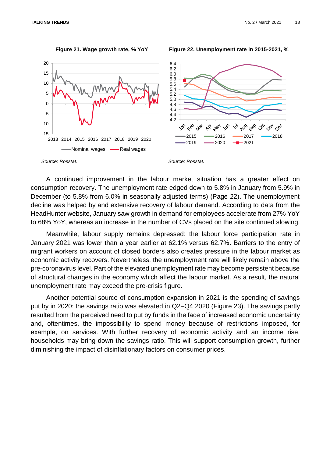

**Figure 21. Wage growth rate, % YoY Figure 22. Unemployment rate in 2015-2021, %**

A continued improvement in the labour market situation has a greater effect on consumption recovery. The unemployment rate edged down to 5.8% in January from 5.9% in December (to 5.8% from 6.0% in seasonally adjusted terms) (Page 22). The unemployment decline was helped by and extensive recovery of labour demand. According to data from the HeadHunter website, January saw growth in demand for employees accelerate from 27% YoY to 68% YoY, whereas an increase in the number of CVs placed on the site continued slowing.

Meanwhile, labour supply remains depressed: the labour force participation rate in January 2021 was lower than a year earlier at 62.1% versus 62.7%. Barriers to the entry of migrant workers on account of closed borders also creates pressure in the labour market as economic activity recovers. Nevertheless, the unemployment rate will likely remain above the pre-coronavirus level. Part of the elevated unemployment rate may become persistent because of structural changes in the economy which affect the labour market. As a result, the natural unemployment rate may exceed the pre-crisis figure.

Another potential source of consumption expansion in 2021 is the spending of savings put by in 2020: the savings ratio was elevated in Q2–Q4 2020 (Figure 23). The savings partly resulted from the perceived need to put by funds in the face of increased economic uncertainty and, oftentimes, the impossibility to spend money because of restrictions imposed, for example, on services. With further recovery of economic activity and an income rise, households may bring down the savings ratio. This will support consumption growth, further diminishing the impact of disinflationary factors on consumer prices.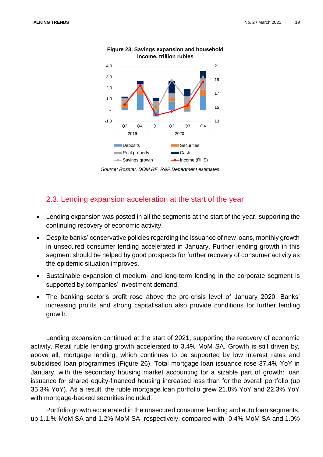

#### **Figure 23. Savings expansion and household income, trillion rubles**

*Source: Rosstat, DOM.RF, R&F Department estimates.*

### <span id="page-18-0"></span>2.3. Lending expansion acceleration at the start of the year

- Lending expansion was posted in all the segments at the start of the year, supporting the continuing recovery of economic activity.
- Despite banks' conservative policies regarding the issuance of new loans, monthly growth in unsecured consumer lending accelerated in January. Further lending growth in this segment should be helped by good prospects for further recovery of consumer activity as the epidemic situation improves.
- Sustainable expansion of medium- and long-term lending in the corporate segment is supported by companies' investment demand.
- The banking sector's profit rose above the pre-crisis level of January 2020. Banks' increasing profits and strong capitalisation also provide conditions for further lending growth.

Lending expansion continued at the start of 2021, supporting the recovery of economic activity. Retail ruble lending growth accelerated to 3.4% MoM SA. Growth is still driven by, above all, mortgage lending, which continues to be supported by low interest rates and subsidised loan programmes (Figure 26). Total mortgage loan issuance rose 37.4% YoY in January, with the secondary housing market accounting for a sizable part of growth: loan issuance for shared equity-financed housing increased less than for the overall portfolio (up 35.3% YoY). As a result, the ruble mortgage loan portfolio grew 21.8% YoY and 22.3% YoY with mortgage-backed securities included.

Portfolio growth accelerated in the unsecured consumer lending and auto loan segments, up 1.1.% MoM SA and 1.2% MoM SA, respectively, compared with -0.4% MoM SA and 1.0%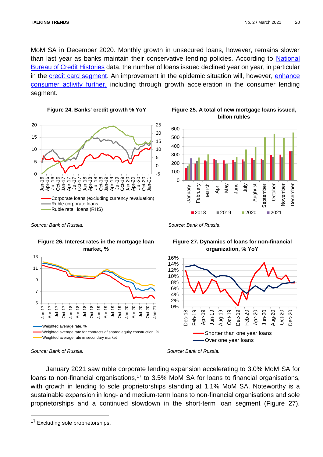MoM SA in December 2020. Monthly growth in unsecured loans, however, remains slower than last year as banks maintain their conservative lending policies. According to [National](https://www.nbki.ru/company/news/?id=273272)  [Bureau of Credit Histories](https://www.nbki.ru/company/news/?id=273272) data, the number of loans issued declined year on year, in particular in the [credit card segment.](https://www.nbki.ru/company/news/?id=275128) An improvement in the epidemic situation will, however, [enhance](https://sberindex.ru/ru/researches/operativnaya-ocenka-dinamiki-potrebitelskikh-raskhodov-s-18-po-24-yanvarya-2021-g)  [consumer activity further,](https://sberindex.ru/ru/researches/operativnaya-ocenka-dinamiki-potrebitelskikh-raskhodov-s-18-po-24-yanvarya-2021-g) including through growth acceleration in the consumer lending segment.



**Figure 24. Banks' credit growth % YoY Figure 25. A total of new mortgage loans issued, billon rubles**



*Source: Bank of Russia. Source: Bank of Russia.*



#### **Figure 26. Interest rates in the mortgage loan market, %**

# **Figure 27. Dynamics of loans for non-financial organization, % YoY**



 $\overline{a}$ 

January 2021 saw ruble corporate lending expansion accelerating to 3.0% MoM SA for loans to non-financial organisations,<sup>17</sup> to 3.5% MoM SA for loans to financial organisations, with growth in lending to sole proprietorships standing at 1.1% MoM SA. Noteworthy is a sustainable expansion in long- and medium-term loans to non-financial organisations and sole proprietorships and a continued slowdown in the short-term loan segment (Figure 27).

*Source: Bank of Russia. Source: Bank of Russia.*

<sup>&</sup>lt;sup>17</sup> Excluding sole proprietorships.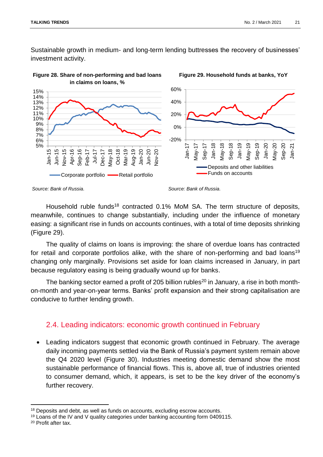Sustainable growth in medium- and long-term lending buttresses the recovery of businesses' investment activity.



**Figure 28. Share of non-performing and bad loans in claims on loans, %**



Household ruble funds<sup>18</sup> contracted 0.1% MoM SA. The term structure of deposits, meanwhile, continues to change substantially, including under the influence of monetary easing: a significant rise in funds on accounts continues, with a total of time deposits shrinking (Figure 29).

The quality of claims on loans is improving: the share of overdue loans has contracted for retail and corporate portfolios alike, with the share of non-performing and bad loans<sup>19</sup> changing only marginally. Provisions set aside for loan claims increased in January, in part because regulatory easing is being gradually wound up for banks.

The banking sector earned a profit of 205 billion rubles<sup>20</sup> in January, a rise in both monthon-month and year-on-year terms. Banks' profit expansion and their strong capitalisation are conducive to further lending growth.

### <span id="page-20-0"></span>2.4. Leading indicators: economic growth continued in February

 Leading indicators suggest that economic growth continued in February. The average daily incoming payments settled via the Bank of Russia's payment system remain above the Q4 2020 level (Figure 30). Industries meeting domestic demand show the most sustainable performance of financial flows. This is, above all, true of industries oriented to consumer demand, which, it appears, is set to be the key driver of the economy's further recovery.

*Source: Bank of Russia. Source: Bank of Russia.*

<sup>&</sup>lt;sup>18</sup> Deposits and debt, as well as funds on accounts, excluding escrow accounts.

<sup>&</sup>lt;sup>19</sup> Loans of the IV and V quality categories under banking accounting form 0409115.

<sup>20</sup> Profit after tax.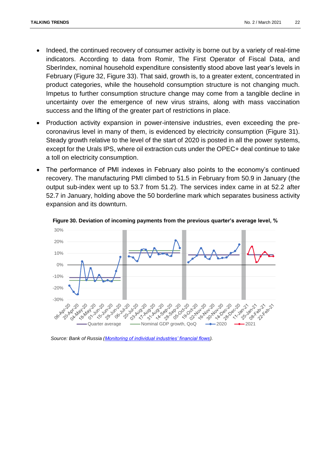- Indeed, the continued recovery of consumer activity is borne out by a variety of real-time indicators. According to data from Romir, The First Operator of Fiscal Data, and SberIndex, nominal household expenditure consistently stood above last year's levels in February (Figure 32, Figure 33). That said, growth is, to a greater extent, concentrated in product categories, while the household consumption structure is not changing much. Impetus to further consumption structure change may come from a tangible decline in uncertainty over the emergence of new virus strains, along with mass vaccination success and the lifting of the greater part of restrictions in place.
- Production activity expansion in power-intensive industries, even exceeding the precoronavirus level in many of them, is evidenced by electricity consumption (Figure 31). Steady growth relative to the level of the start of 2020 is posted in all the power systems, except for the Urals IPS, where oil extraction cuts under the OPEC+ deal continue to take a toll on electricity consumption.
- The performance of PMI indexes in February also points to the economy's continued recovery. The manufacturing PMI climbed to 51.5 in February from 50.9 in January (the output sub-index went up to 53.7 from 51.2). The services index came in at 52.2 after 52.7 in January, holding above the 50 borderline mark which separates business activity expansion and its downturn.



**Figure 30. Deviation of incoming payments from the previous quarter's average level, %**

*Source: Bank of Russia (Monitoring of individual industries' financial flows).*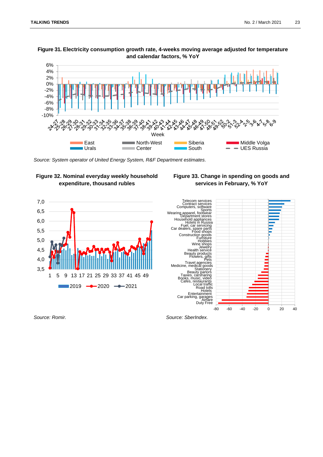#### **Figure 31. Electricity consumption growth rate, 4-weeks moving average adjusted for temperature and calendar factors, % YoY**



*Source: System operator of United Energy System, R&F Department estimates.*









*Source: Romir. Source: SberIndex.*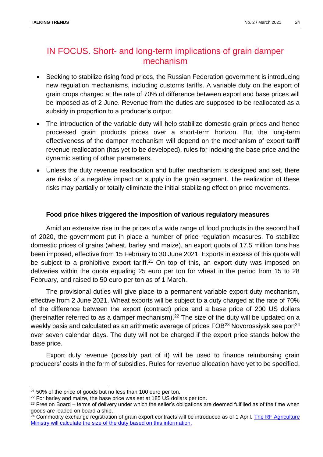# <span id="page-23-0"></span>IN FOCUS. Short- and long-term implications of grain damper mechanism

- Seeking to stabilize rising food prices, the Russian Federation government is introducing new regulation mechanisms, including customs tariffs. A variable duty on the export of grain crops charged at the rate of 70% of difference between export and base prices will be imposed as of 2 June. Revenue from the duties are supposed to be reallocated as a subsidy in proportion to a producer's output.
- The introduction of the variable duty will help stabilize domestic grain prices and hence processed grain products prices over a short-term horizon. But the long-term effectiveness of the damper mechanism will depend on the mechanism of export tariff revenue reallocation (has yet to be developed), rules for indexing the base price and the dynamic setting of other parameters.
- Unless the duty revenue reallocation and buffer mechanism is designed and set, there are risks of a negative impact on supply in the grain segment. The realization of these risks may partially or totally eliminate the initial stabilizing effect on price movements.

### **Food price hikes triggered the imposition of various regulatory measures**

Amid an extensive rise in the prices of a wide range of food products in the second half of 2020, the government put in place a number of price regulation measures. To stabilize domestic prices of grains (wheat, barley and maize), an export quota of 17.5 million tons has been imposed, effective from 15 February to 30 June 2021. Exports in excess of this quota will be subject to a prohibitive export tariff.<sup>21</sup> On top of this, an export duty was imposed on deliveries within the quota equaling 25 euro per ton for wheat in the period from 15 to 28 February, and raised to 50 euro per ton as of 1 March.

The provisional duties will give place to a permanent variable export duty mechanism, effective from 2 June 2021. Wheat exports will be subject to a duty charged at the rate of 70% of the difference between the export (contract) price and a base price of 200 US dollars (hereinafter referred to as a damper mechanism).<sup>22</sup> The size of the duty will be updated on a weekly basis and calculated as an arithmetic average of prices  $\text{FOB}^{23}$  Novorossiysk sea port<sup>24</sup> over seven calendar days. The duty will not be charged if the export price stands below the base price.

Export duty revenue (possibly part of it) will be used to finance reimbursing grain producers' costs in the form of subsidies. Rules for revenue allocation have yet to be specified,

<sup>&</sup>lt;sup>21</sup> 50% of the price of goods but no less than 100 euro per ton.

<sup>&</sup>lt;sup>22</sup> For barley and maize, the base price was set at 185 US dollars per ton.

<sup>&</sup>lt;sup>23</sup> Free on Board – terms of delivery under which the seller's obligations are deemed fulfilled as of the time when goods are loaded on board a ship.

<sup>&</sup>lt;sup>24</sup> Commodity exchange registration of grain export contracts will be introduced as of 1 April. The RF Agriculture [Ministry will calculate the size of the duty based on this information.](http://government.ru/docs/41464/)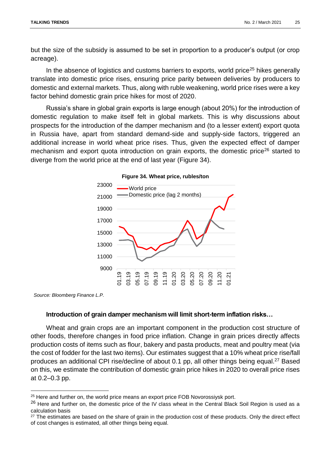but the size of the subsidy is assumed to be set in proportion to a producer's output (or crop acreage).

In the absence of logistics and customs barriers to exports, world price<sup>25</sup> hikes generally translate into domestic price rises, ensuring price parity between deliveries by producers to domestic and external markets. Thus, along with ruble weakening, world price rises were a key factor behind domestic grain price hikes for most of 2020.

Russia's share in global grain exports is large enough (about 20%) for the introduction of domestic regulation to make itself felt in global markets. This is why discussions about prospects for the introduction of the damper mechanism and (to a lesser extent) export quota in Russia have, apart from standard demand-side and supply-side factors, triggered an additional increase in world wheat price rises. Thus, given the expected effect of damper mechanism and export quota introduction on grain exports, the domestic price<sup>26</sup> started to diverge from the world price at the end of last year (Figure 34).



#### **Figure 34. Wheat price, rubles/ton**

*Source: Bloomberg Finance L.P.*

 $\overline{\phantom{a}}$ 

#### **Introduction of grain damper mechanism will limit short-term inflation risks…**

Wheat and grain crops are an important component in the production cost structure of other foods, therefore changes in food price inflation. Change in grain prices directly affects production costs of items such as flour, bakery and pasta products, meat and poultry meat (via the cost of fodder for the last two items). Our estimates suggest that a 10% wheat price rise/fall produces an additional CPI rise/decline of about 0.1 pp, all other things being equal.<sup>27</sup> Based on this, we estimate the contribution of domestic grain price hikes in 2020 to overall price rises at 0.2–0.3 pp.

<sup>&</sup>lt;sup>25</sup> Here and further on, the world price means an export price FOB Novorossiysk port.

 $26$  Here and further on, the domestic price of the IV class wheat in the Central Black Soil Region is used as a calculation basis

<sup>&</sup>lt;sup>27</sup> The estimates are based on the share of grain in the production cost of these products. Only the direct effect of cost changes is estimated, all other things being equal.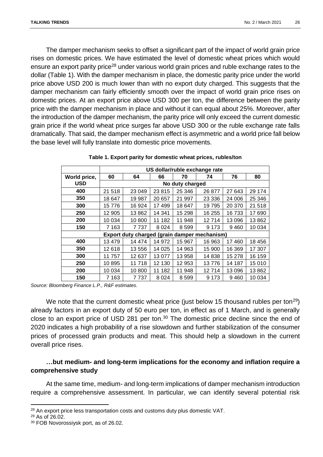The damper mechanism seeks to offset a significant part of the impact of world grain price rises on domestic prices. We have estimated the level of domestic wheat prices which would ensure an export parity price<sup>28</sup> under various world grain prices and ruble exchange rates to the dollar (Table 1). With the damper mechanism in place, the domestic parity price under the world price above USD 200 is much lower than with no export duty charged. This suggests that the damper mechanism can fairly efficiently smooth over the impact of world grain price rises on domestic prices. At an export price above USD 300 per ton, the difference between the parity price with the damper mechanism in place and without it can equal about 25%. Moreover, after the introduction of the damper mechanism, the parity price will only exceed the current domestic grain price if the world wheat price surges far above USD 300 or the ruble exchange rate falls dramatically. That said, the damper mechanism effect is asymmetric and a world price fall below the base level will fully translate into domestic price movements.

|                                              | US dollar/ruble exchange rate |        |         |         |          |        |        |  |
|----------------------------------------------|-------------------------------|--------|---------|---------|----------|--------|--------|--|
| World price,                                 | 60                            | 64     | 66      | 70      | 74       | 76     | 80     |  |
| <b>USD</b>                                   | No duty charged               |        |         |         |          |        |        |  |
| 400                                          | 21 518                        | 23 049 | 23815   | 25 346  | 26 877   | 27 643 | 29 174 |  |
| 350                                          | 18 647                        | 19 987 | 20 657  | 21 997  | 23 3 3 6 | 24 006 | 25 346 |  |
| 300                                          | 15776                         | 16 924 | 17 499  | 18 647  | 19795    | 20 370 | 21 518 |  |
| 250                                          | 12 905                        | 13862  | 14 341  | 15 298  | 16 255   | 16733  | 17 690 |  |
| 200                                          | 10 034                        | 10800  | 11 182  | 11 948  | 12714    | 13 096 | 13862  |  |
| 150                                          | 7 1 6 3                       | 7737   | 8 0 2 4 | 8 5 9 9 | 9 1 7 3  | 9460   | 10 034 |  |
| Export duty charged (grain damper mechanism) |                               |        |         |         |          |        |        |  |
| 400                                          | 13 4 79                       | 14 474 | 14 972  | 15 967  | 16 963   | 17 460 | 18 456 |  |
| 350                                          | 12618                         | 13556  | 14 0 25 | 14 963  | 15 900   | 16 369 | 17 307 |  |
| 300                                          | 11 757                        | 12 637 | 13 077  | 13 958  | 14838    | 15 278 | 16 159 |  |
| 250                                          | 10895                         | 11718  | 12 130  | 12 953  | 13776    | 14 187 | 15 010 |  |
| 200                                          | 10 0 34                       | 10800  | 11 182  | 11 948  | 12714    | 13 096 | 13862  |  |
| 150                                          | 7 1 6 3                       | 7737   | 8 0 2 4 | 8599    | 9 1 7 3  | 9460   | 10 034 |  |

|  |  |  | Table 1. Export parity for domestic wheat prices, rubles/ton |  |
|--|--|--|--------------------------------------------------------------|--|
|--|--|--|--------------------------------------------------------------|--|

*Source: Bloomberg Finance L.P., R&F estimates.*

We note that the current domestic wheat price (just below 15 thousand rubles per ton<sup>29</sup>) already factors in an export duty of 50 euro per ton, in effect as of 1 March, and is generally close to an export price of USD 281 per ton.<sup>30</sup> The domestic price decline since the end of 2020 indicates a high probability of a rise slowdown and further stabilization of the consumer prices of processed grain products and meat. This should help a slowdown in the current overall price rises.

### **…but medium- and long-term implications for the economy and inflation require a comprehensive study**

At the same time, medium- and long-term implications of damper mechanism introduction require a comprehensive assessment. In particular, we can identify several potential risk

<sup>&</sup>lt;sup>28</sup> An export price less transportation costs and customs duty plus domestic VAT.

<sup>29</sup> As of 26.02.

<sup>30</sup> FOB Novorossiysk port, as of 26.02.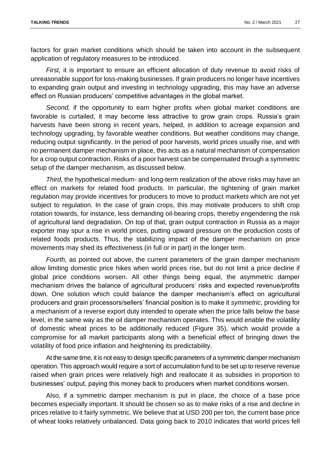factors for grain market conditions which should be taken into account in the subsequent application of regulatory measures to be introduced.

*First,* it is important to ensure an efficient allocation of duty revenue to avoid risks of unreasonable support for loss-making businesses. If grain producers no longer have incentives to expanding grain output and investing in technology upgrading, this may have an adverse effect on Russian producers' competitive advantages in the global market.

*Second,* if the opportunity to earn higher profits when global market conditions are favorable is curtailed, it may become less attractive to grow grain crops. Russia's grain harvests have been strong in recent years, helped, in addition to acreage expansion and technology upgrading, by favorable weather conditions. But weather conditions may change, reducing output significantly. In the period of poor harvests, world prices usually rise, and with no permanent damper mechanism in place, this acts as a natural mechanism of compensation for a crop output contraction. Risks of a poor harvest can be compensated through a symmetric setup of the damper mechanism, as discussed below.

*Third,* the hypothetical medium- and long-term realization of the above risks may have an effect on markets for related food products. In particular, the tightening of grain market regulation may provide incentives for producers to move to product markets which are not yet subject to regulation. In the case of grain crops, this may motivate producers to shift crop rotation towards, for instance, less demanding oil-bearing crops, thereby engendering the risk of agricultural land degradation. On top of that, grain output contraction in Russia as a major exporter may spur a rise in world prices, putting upward pressure on the production costs of related foods products. Thus, the stabilizing impact of the damper mechanism on price movements may shed its effectiveness (in full or in part) in the longer term.

*Fourth,* as pointed out above, the current parameters of the grain damper mechanism allow limiting domestic price hikes when world prices rise, but do not limit a price decline if global price conditions worsen. All other things being equal, the asymmetric damper mechanism drives the balance of agricultural producers' risks and expected revenue/profits down. One solution which could balance the damper mechanism's effect on agricultural producers and grain processors/sellers' financial position is to make it *symmetric*, providing for a mechanism of a reverse export duty intended to operate when the price falls below the base level, in the same way as the oil damper mechanism operates. This would enable the volatility of domestic wheat prices to be additionally reduced (Figure 35), which would provide a compromise for all market participants along with a beneficial effect of bringing down the volatility of food price inflation and heightening its predictability.

At the same time, it is not easy to design specific parameters of a symmetric damper mechanism operation. This approach would require a sort of accumulation fund to be set up to reserve revenue raised when grain prices were relatively high and reallocate it as subsidies in proportion to businesses' output, paying this money back to producers when market conditions worsen.

Also, if a symmetric damper mechanism is put in place, the choice of a base price becomes especially important. It should be chosen so as to make risks of a rise and decline in prices relative to it fairly symmetric. We believe that at USD 200 per ton, the current base price of wheat looks relatively unbalanced. Data going back to 2010 indicates that world prices fell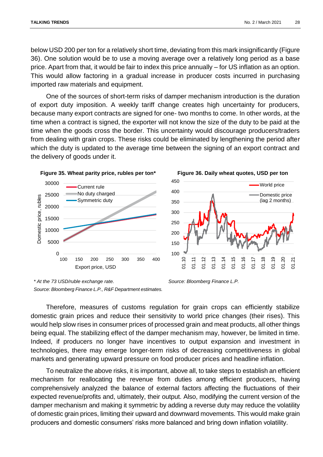below USD 200 per ton for a relatively short time, deviating from this mark insignificantly (Figure 36). One solution would be to use a moving average over a relatively long period as a base price. Apart from that, it would be fair to index this price annually – for US inflation as an option. This would allow factoring in a gradual increase in producer costs incurred in purchasing imported raw materials and equipment.

One of the sources of short-term risks of damper mechanism introduction is the duration of export duty imposition. A weekly tariff change creates high uncertainty for producers, because many export contracts are signed for one- two months to come. In other words, at the time when a contract is signed, the exporter will not know the size of the duty to be paid at the time when the goods cross the border. This uncertainty would discourage producers/traders from dealing with grain crops. These risks could be eliminated by lengthening the period after which the duty is updated to the average time between the signing of an export contract and the delivery of goods under it.





*Source: Bloomberg Finance L.P.*

Therefore, measures of customs regulation for grain crops can efficiently stabilize domestic grain prices and reduce their sensitivity to world price changes (their rises). This would help slow rises in consumer prices of processed grain and meat products, all other things being equal. The stabilizing effect of the damper mechanism may, however, be limited in time. Indeed, if producers no longer have incentives to output expansion and investment in technologies, there may emerge longer-term risks of decreasing competitiveness in global markets and generating upward pressure on food producer prices and headline inflation.

To neutralize the above risks, it is important, above all, to take steps to establish an efficient mechanism for reallocating the revenue from duties among efficient producers, having comprehensively analyzed the balance of external factors affecting the fluctuations of their expected revenue/profits and, ultimately, their output. Also, modifying the current version of the damper mechanism and making it symmetric by adding a reverse duty may reduce the volatility of domestic grain prices, limiting their upward and downward movements. This would make grain producers and domestic consumers' risks more balanced and bring down inflation volatility.

*<sup>\*</sup> At the 73 USD/ruble exchange rate. Source: Bloomberg Finance L.P., R&F Department estimates.*